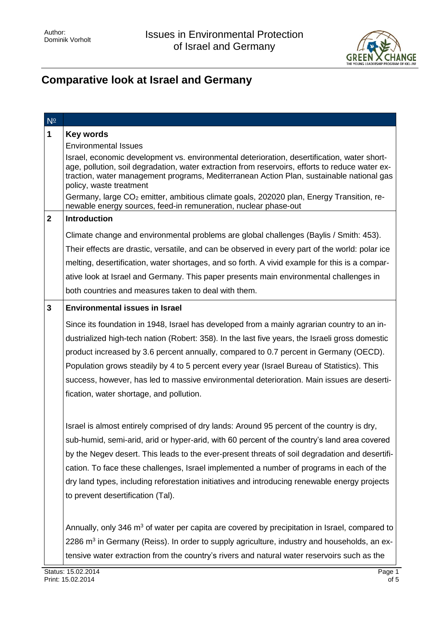

## **Comparative look at Israel and Germany**

| $N^{\circ}$  |                                                                                                                                                                                                                                                                                                                                                                                                                                                                                                                                 |
|--------------|---------------------------------------------------------------------------------------------------------------------------------------------------------------------------------------------------------------------------------------------------------------------------------------------------------------------------------------------------------------------------------------------------------------------------------------------------------------------------------------------------------------------------------|
| 1            | <b>Key words</b>                                                                                                                                                                                                                                                                                                                                                                                                                                                                                                                |
|              | <b>Environmental Issues</b>                                                                                                                                                                                                                                                                                                                                                                                                                                                                                                     |
|              | Israel, economic development vs. environmental deterioration, desertification, water short-<br>age, pollution, soil degradation, water extraction from reservoirs, efforts to reduce water ex-<br>traction, water management programs, Mediterranean Action Plan, sustainable national gas<br>policy, waste treatment<br>Germany, large CO <sub>2</sub> emitter, ambitious climate goals, 202020 plan, Energy Transition, re-                                                                                                   |
|              | newable energy sources, feed-in remuneration, nuclear phase-out                                                                                                                                                                                                                                                                                                                                                                                                                                                                 |
| $\mathbf{2}$ | <b>Introduction</b>                                                                                                                                                                                                                                                                                                                                                                                                                                                                                                             |
|              | Climate change and environmental problems are global challenges (Baylis / Smith: 453).                                                                                                                                                                                                                                                                                                                                                                                                                                          |
|              | Their effects are drastic, versatile, and can be observed in every part of the world: polar ice                                                                                                                                                                                                                                                                                                                                                                                                                                 |
|              | melting, desertification, water shortages, and so forth. A vivid example for this is a compar-                                                                                                                                                                                                                                                                                                                                                                                                                                  |
|              | ative look at Israel and Germany. This paper presents main environmental challenges in                                                                                                                                                                                                                                                                                                                                                                                                                                          |
|              | both countries and measures taken to deal with them.                                                                                                                                                                                                                                                                                                                                                                                                                                                                            |
| $\mathbf{3}$ | <b>Environmental issues in Israel</b>                                                                                                                                                                                                                                                                                                                                                                                                                                                                                           |
|              | Since its foundation in 1948, Israel has developed from a mainly agrarian country to an in-<br>dustrialized high-tech nation (Robert: 358). In the last five years, the Israeli gross domestic<br>product increased by 3.6 percent annually, compared to 0.7 percent in Germany (OECD).<br>Population grows steadily by 4 to 5 percent every year (Israel Bureau of Statistics). This<br>success, however, has led to massive environmental deterioration. Main issues are deserti-<br>fication, water shortage, and pollution. |
|              | Israel is almost entirely comprised of dry lands: Around 95 percent of the country is dry,<br>sub-humid, semi-arid, arid or hyper-arid, with 60 percent of the country's land area covered<br>by the Negev desert. This leads to the ever-present threats of soil degradation and desertifi-<br>cation. To face these challenges, Israel implemented a number of programs in each of the<br>dry land types, including reforestation initiatives and introducing renewable energy projects<br>to prevent desertification (Tal).  |
|              | Annually, only 346 m <sup>3</sup> of water per capita are covered by precipitation in Israel, compared to<br>2286 $m3$ in Germany (Reiss). In order to supply agriculture, industry and households, an ex-<br>tensive water extraction from the country's rivers and natural water reservoirs such as the                                                                                                                                                                                                                       |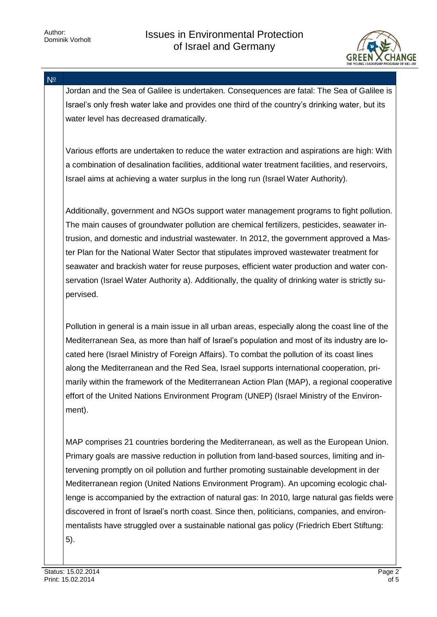

N<sup>o</sup>

Jordan and the Sea of Galilee is undertaken. Consequences are fatal: The Sea of Galilee is Israel's only fresh water lake and provides one third of the country's drinking water, but its water level has decreased dramatically.

Various efforts are undertaken to reduce the water extraction and aspirations are high: With a combination of desalination facilities, additional water treatment facilities, and reservoirs, Israel aims at achieving a water surplus in the long run (Israel Water Authority).

Additionally, government and NGOs support water management programs to fight pollution. The main causes of groundwater pollution are chemical fertilizers, pesticides, seawater intrusion, and domestic and industrial wastewater. In 2012, the government approved a Master Plan for the National Water Sector that stipulates improved wastewater treatment for seawater and brackish water for reuse purposes, efficient water production and water conservation (Israel Water Authority a). Additionally, the quality of drinking water is strictly supervised.

Pollution in general is a main issue in all urban areas, especially along the coast line of the Mediterranean Sea, as more than half of Israel's population and most of its industry are located here (Israel Ministry of Foreign Affairs). To combat the pollution of its coast lines along the Mediterranean and the Red Sea, Israel supports international cooperation, primarily within the framework of the Mediterranean Action Plan (MAP), a regional cooperative effort of the United Nations Environment Program (UNEP) (Israel Ministry of the Environment).

MAP comprises 21 countries bordering the Mediterranean, as well as the European Union. Primary goals are massive reduction in pollution from land-based sources, limiting and intervening promptly on oil pollution and further promoting sustainable development in der Mediterranean region (United Nations Environment Program). An upcoming ecologic challenge is accompanied by the extraction of natural gas: In 2010, large natural gas fields were discovered in front of Israel's north coast. Since then, politicians, companies, and environmentalists have struggled over a sustainable national gas policy (Friedrich Ebert Stiftung: 5).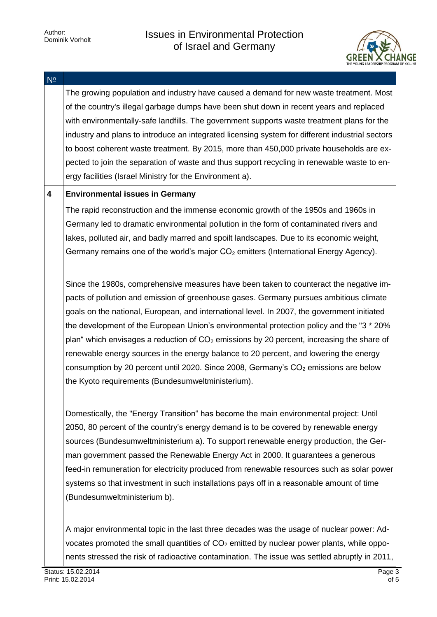

| $N^{\circ}$ |                                                                                                                                                                                                                                                                                                                                                                                                                                                                                                                                                                                                                                                                                                                   |
|-------------|-------------------------------------------------------------------------------------------------------------------------------------------------------------------------------------------------------------------------------------------------------------------------------------------------------------------------------------------------------------------------------------------------------------------------------------------------------------------------------------------------------------------------------------------------------------------------------------------------------------------------------------------------------------------------------------------------------------------|
|             | The growing population and industry have caused a demand for new waste treatment. Most<br>of the country's illegal garbage dumps have been shut down in recent years and replaced<br>with environmentally-safe landfills. The government supports waste treatment plans for the<br>industry and plans to introduce an integrated licensing system for different industrial sectors<br>to boost coherent waste treatment. By 2015, more than 450,000 private households are ex-<br>pected to join the separation of waste and thus support recycling in renewable waste to en-<br>ergy facilities (Israel Ministry for the Environment a).                                                                         |
| 4           | <b>Environmental issues in Germany</b>                                                                                                                                                                                                                                                                                                                                                                                                                                                                                                                                                                                                                                                                            |
|             | The rapid reconstruction and the immense economic growth of the 1950s and 1960s in<br>Germany led to dramatic environmental pollution in the form of contaminated rivers and<br>lakes, polluted air, and badly marred and spoilt landscapes. Due to its economic weight,<br>Germany remains one of the world's major $CO2$ emitters (International Energy Agency).                                                                                                                                                                                                                                                                                                                                                |
|             | Since the 1980s, comprehensive measures have been taken to counteract the negative im-<br>pacts of pollution and emission of greenhouse gases. Germany pursues ambitious climate<br>goals on the national, European, and international level. In 2007, the government initiated<br>the development of the European Union's environmental protection policy and the "3 * 20%<br>plan" which envisages a reduction of $CO2$ emissions by 20 percent, increasing the share of<br>renewable energy sources in the energy balance to 20 percent, and lowering the energy<br>consumption by 20 percent until 2020. Since 2008, Germany's $CO2$ emissions are below<br>the Kyoto requirements (Bundesumweltministerium). |
|             | Domestically, the "Energy Transition" has become the main environmental project: Until<br>2050, 80 percent of the country's energy demand is to be covered by renewable energy<br>sources (Bundesumweltministerium a). To support renewable energy production, the Ger-<br>man government passed the Renewable Energy Act in 2000. It guarantees a generous<br>feed-in remuneration for electricity produced from renewable resources such as solar power<br>systems so that investment in such installations pays off in a reasonable amount of time<br>(Bundesumweltministerium b).                                                                                                                             |
|             | A major environmental topic in the last three decades was the usage of nuclear power: Ad-<br>vocates promoted the small quantities of $CO2$ emitted by nuclear power plants, while oppo-<br>nents stressed the risk of radioactive contamination. The issue was settled abruptly in 2011,                                                                                                                                                                                                                                                                                                                                                                                                                         |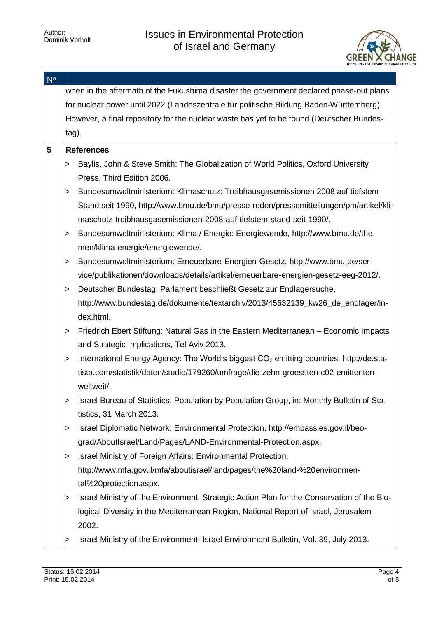

| $N^{\circ}$ |                                                                                         |                                                                                                     |  |  |  |
|-------------|-----------------------------------------------------------------------------------------|-----------------------------------------------------------------------------------------------------|--|--|--|
|             | when in the aftermath of the Fukushima disaster the government declared phase-out plans |                                                                                                     |  |  |  |
|             | for nuclear power until 2022 (Landeszentrale für politische Bildung Baden-Württemberg). |                                                                                                     |  |  |  |
|             |                                                                                         | However, a final repository for the nuclear waste has yet to be found (Deutscher Bundes-            |  |  |  |
|             | tag).                                                                                   |                                                                                                     |  |  |  |
| 5           |                                                                                         | <b>References</b>                                                                                   |  |  |  |
|             | >                                                                                       | Baylis, John & Steve Smith: The Globalization of World Politics, Oxford University                  |  |  |  |
|             |                                                                                         | Press, Third Edition 2006.                                                                          |  |  |  |
|             | $\,>$                                                                                   | Bundesumweltministerium: Klimaschutz: Treibhausgasemissionen 2008 auf tiefstem                      |  |  |  |
|             |                                                                                         | Stand seit 1990, http://www.bmu.de/bmu/presse-reden/pressemitteilungen/pm/artikel/kli-              |  |  |  |
|             |                                                                                         | maschutz-treibhausgasemissionen-2008-auf-tiefstem-stand-seit-1990/.                                 |  |  |  |
|             | $\,>$                                                                                   | Bundesumweltministerium: Klima / Energie: Energiewende, http://www.bmu.de/the-                      |  |  |  |
|             |                                                                                         | men/klima-energie/energiewende/.                                                                    |  |  |  |
|             | $\,>$                                                                                   | Bundesumweltministerium: Erneuerbare-Energien-Gesetz, http://www.bmu.de/ser-                        |  |  |  |
|             |                                                                                         | vice/publikationen/downloads/details/artikel/erneuerbare-energien-gesetz-eeg-2012/.                 |  |  |  |
|             | >                                                                                       | Deutscher Bundestag: Parlament beschließt Gesetz zur Endlagersuche,                                 |  |  |  |
|             |                                                                                         | http://www.bundestag.de/dokumente/textarchiv/2013/45632139_kw26_de_endlager/in-                     |  |  |  |
|             |                                                                                         | dex.html.                                                                                           |  |  |  |
|             | >                                                                                       | Friedrich Ebert Stiftung: Natural Gas in the Eastern Mediterranean - Economic Impacts               |  |  |  |
|             |                                                                                         | and Strategic Implications, Tel Aviv 2013.                                                          |  |  |  |
|             | $\,>$                                                                                   | International Energy Agency: The World's biggest CO <sub>2</sub> emitting countries, http://de.sta- |  |  |  |
|             |                                                                                         | tista.com/statistik/daten/studie/179260/umfrage/die-zehn-groessten-c02-emittenten-                  |  |  |  |
|             |                                                                                         | weltweit/.                                                                                          |  |  |  |
|             | >                                                                                       | Israel Bureau of Statistics: Population by Population Group, in: Monthly Bulletin of Sta-           |  |  |  |
|             |                                                                                         | tistics, 31 March 2013.                                                                             |  |  |  |
|             | >                                                                                       | Israel Diplomatic Network: Environmental Protection, http://embassies.gov.il/beo-                   |  |  |  |
|             |                                                                                         | grad/AboutIsrael/Land/Pages/LAND-Environmental-Protection.aspx.                                     |  |  |  |
|             | >                                                                                       | Israel Ministry of Foreign Affairs: Environmental Protection,                                       |  |  |  |
|             |                                                                                         | http://www.mfa.gov.il/mfa/aboutisrael/land/pages/the%20land-%20environmen-                          |  |  |  |
|             |                                                                                         | tal%20protection.aspx.                                                                              |  |  |  |
|             | >                                                                                       | Israel Ministry of the Environment: Strategic Action Plan for the Conservation of the Bio-          |  |  |  |
|             |                                                                                         | logical Diversity in the Mediterranean Region, National Report of Israel, Jerusalem                 |  |  |  |
|             |                                                                                         | 2002.                                                                                               |  |  |  |
|             | >                                                                                       | Israel Ministry of the Environment: Israel Environment Bulletin, Vol. 39, July 2013.                |  |  |  |